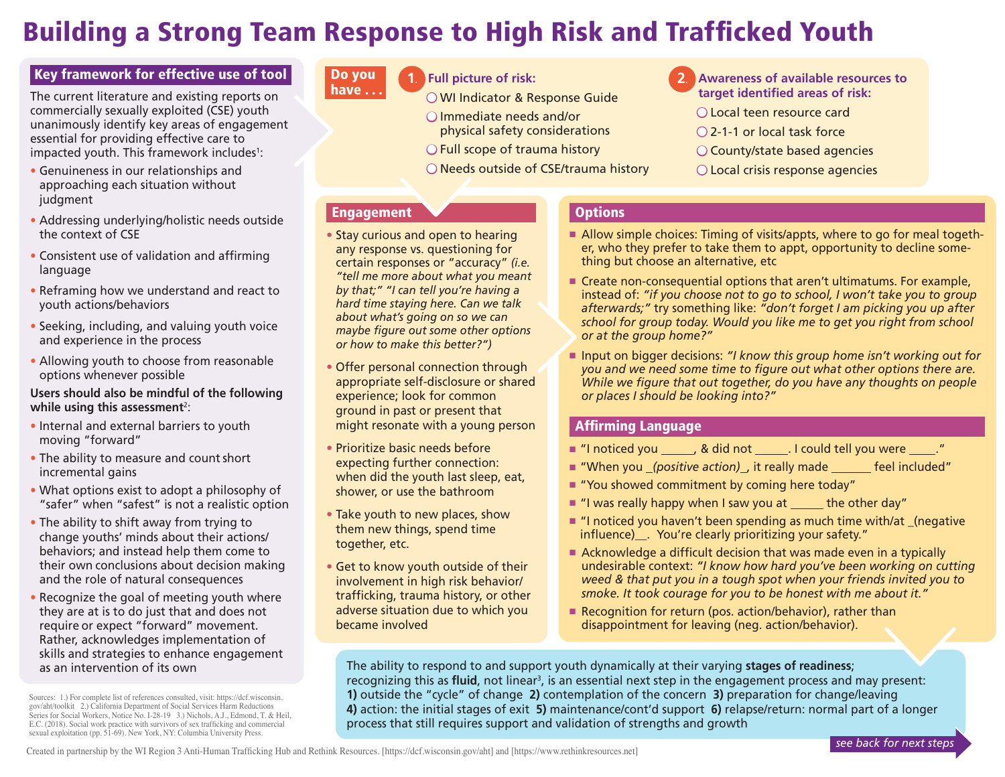# Building a Strong Team Response to High Risk and Trafficked Youth

## Key framework for effective use of tool

The current literature and existing reports on commercially sexually exploited (CSE) youth unanimously identify key areas of engagement essential for providing effective care to impacted youth. This framework includes<sup>1</sup>:

- Genuineness in our relationships and approaching each situation without judgment
- Addressing underlying/holistic needs outside the context of CSE
- Consistent use of validation and affirming language
- Reframing how we understand and react to youth actions/behaviors
- Seeking, including, and valuing youth voice and experience in the process
- Allowing youth to choose from reasonable options whenever possible

#### **Users should also be mindful of the following**  while using this assessment<sup>2</sup>:

- Internal and external barriers to youth moving "forward"
- The ability to measure and count short incremental gains
- What options exist to adopt a philosophy of "safer" when "safest" is not a realistic option
- The ability to shift away from trying to change youths' minds about their actions/ behaviors; and instead help them come to their own conclusions about decision making and the role of natural consequences
- Recognize the goal of meeting youth where they are at is to do just that and does not require or expect "forward" movement. Rather, acknowledges implementation of skills and strategies to enhance engagement as an intervention of its own

Sources: 1.) For complete list of references consulted, visit: https://dcf.wisconsin. gov/aht/toolkit 2.) California Department of Social Services Harm Reductions Series for Social Workers, Notice No. I-28-19 3.) Nichols, A.J., Edmond, T. & Heil, E.C. (2018). Social work practice with survivors of sex trafficking and commercial sexual exploitation (pp. 51-69). New York, NY: Columbia University Press.

#### Do you **have . . .**

# **1.) Full picture of risk:** Do **2.**

- O WI Indicator & Response Guide  $\bigcirc$  Immediate needs and/or
- physical safety considerations
- $\bigcirc$  Full scope of trauma history
- $\bigcirc$  Needs outside of CSE/trauma history
- **1. 2.) Awareness of available resources to target identified areas of risk:** O Local teen resource card
- $\bigcap$  2-1-1 or local task force
- $\bigcirc$  County/state based agencies
- $\bigcirc$  Local crisis response agencies

### Engagement

- Stay curious and open to hearing any response vs. questioning for certain responses or "accuracy" *(i.e. "tell me more about what you meant by that;" "I can tell you're having a hard time staying here. Can we talk about what's going on so we can maybe figure out some other options or how to make this better?")*
- Offer personal connection through appropriate self-disclosure or shared experience; look for common ground in past or present that might resonate with a young person
- Prioritize basic needs before expecting further connection: when did the youth last sleep, eat, shower, or use the bathroom
- Take youth to new places, show them new things, spend time together, etc.
- Get to know youth outside of their involvement in high risk behavior/ trafficking, trauma history, or other adverse situation due to which you became involved

# **Options**

- $\blacksquare$  Allow simple choices: Timing of visits/appts, where to go for meal together, who they prefer to take them to appt, opportunity to decline something but choose an alternative, etc
- $\blacksquare$  Create non-consequential options that aren't ultimatums. For example, instead of: *"if you choose not to go to school, I won't take you to group afterwards;"* try something like: *"don't forget I am picking you up after school for group today. Would you like me to get you right from school or at the group home?"*
- Input on bigger decisions: *"I know this group home isn't working out for you and we need some time to figure out what other options there are. While we figure that out together, do you have any thoughts on people or places I should be looking into?"*

### Affirming Language

- "I noticed you \_\_\_\_\_\_, & did not \_\_\_\_\_\_. I could tell you were \_\_\_\_\_."
- "When you *(positive action)*, it really made feel included"
- $\blacksquare$  "You showed commitment by coming here today"
- $\blacksquare$  "I was really happy when I saw you at the other day"
- $\blacksquare$  "I noticed you haven't been spending as much time with/at (negative influence)\_. You're clearly prioritizing your safety."
- Acknowledge a difficult decision that was made even in a typically undesirable context: *"I know how hard you've been working on cutting weed & that put you in a tough spot when your friends invited you to smoke. It took courage for you to be honest with me about it."*
- Recognition for return (pos. action/behavior), rather than disappointment for leaving (neg. action/behavior).

The ability to respond to and support youth dynamically at their varying **stages of readiness**; recognizing this as **fluid**, not linear<sup>3</sup>, is an essential next step in the engagement process and may present: **1)** outside the "cycle" of change **2)** contemplation of the concern **3)** preparation for change/leaving **4)** action: the initial stages of exit **5)** maintenance/cont'd support **6)** relapse/return: normal part of a longer process that still requires support and validation of strengths and growth